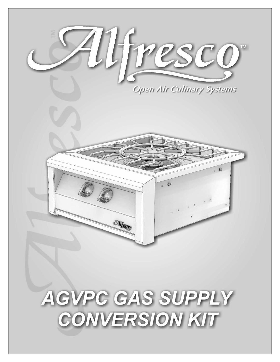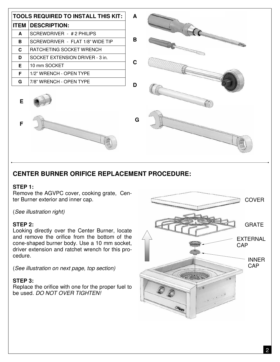| <b>TOOLS REQUIRED TO INSTALL THIS KIT:</b><br>A |                                  |   |                                                                                                                                                                                                                                |
|-------------------------------------------------|----------------------------------|---|--------------------------------------------------------------------------------------------------------------------------------------------------------------------------------------------------------------------------------|
| <b>ITEM</b>                                     | <b>DESCRIPTION:</b>              |   | <b>COMPANY</b>                                                                                                                                                                                                                 |
| A                                               | SCREWDRIVER - #2 PHILIPS         |   |                                                                                                                                                                                                                                |
| B                                               | SCREWDRIVER - FLAT 1/8" WIDE TIP | B | <b><i>Management Communication</i></b>                                                                                                                                                                                         |
| C                                               | RATCHETING SOCKET WRENCH         |   | g ann ann ann ann anns                                                                                                                                                                                                         |
| D                                               | SOCKET EXTENSION DRIVER - 3 in.  |   |                                                                                                                                                                                                                                |
| Е                                               | 10 mm SOCKET                     | C |                                                                                                                                                                                                                                |
| F                                               | 1/2" WRENCH - OPEN TYPE          |   |                                                                                                                                                                                                                                |
| G                                               | 7/8" WRENCH - OPEN TYPE          | D |                                                                                                                                                                                                                                |
| Е                                               |                                  |   |                                                                                                                                                                                                                                |
| F                                               |                                  | G | a sa mga mga sangayon ng Pagayang Pagayang Pagayang Pagayang Pagayang Pagayang Pagayang Pagayang Pagayang Pagayang Pagayang Pagayang Pagayang Pagayang Pagayang Pagayang Pagayang Pagayang Pagayang Pagayang Pagayang Pagayang |
|                                                 |                                  |   |                                                                                                                                                                                                                                |

# **CENTER BURNER ORIFICE REPLACEMENT PROCEDURE:**

#### **STEP 1:**

Remove the AGVPC cover, cooking grate, Center Burner exterior and inner cap.

(See illustration right)

#### **STEP 2:**

Looking directly over the Center Burner, locate and remove the orifice from the bottom of the cone-shaped burner body. Use a 10 mm socket, driver extension and ratchet wrench for this procedure.

(See illustration on next page, top section)

## **STEP 3:**

Replace the orifice with one for the proper fuel to be used. DO NOT OVER TIGHTEN!

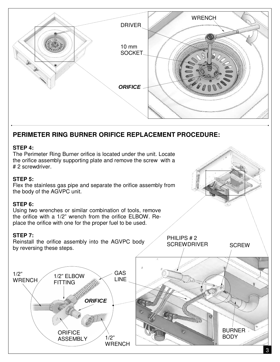

# **PERIMETER RING BURNER ORIFICE REPLACEMENT PROCEDURE:**

#### **STEP 4:**

The Perimeter Ring Burner orifice is located under the unit. Locate the orifice assembly supporting plate and remove the screw with a # 2 screwdriver.

### **STEP 5:**

Flex the stainless gas pipe and separate the orifice assembly from the body of the AGVPC unit.

#### **STEP 6:**

Using two wrenches or similar combination of tools, remove the orifice with a 1/2" wrench from the orifice ELBOW. Replace the orifice with one for the proper fuel to be used.

#### **STEP 7:**

Reinstall the orifice assembly into the AGVPC body by reversing these steps.



**SCREW** 

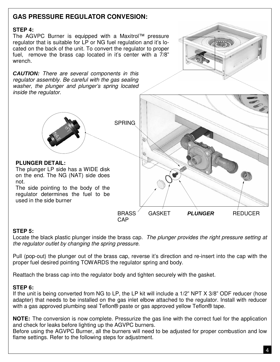# **GAS PRESSURE REGULATOR CONVESION:**

## **STEP 4:**

The AGVPC Burner is equipped with a Maxitrol™ pressure regulator that is suitable for LP or NG fuel regulation and it's located on the back of the unit. To convert the regulator to proper fuel, remove the brass cap located in it's center with a 7/8" wrench.

**CAUTION:** There are several components in this regulator assembly. Be careful with the gas sealing washer, the plunger and plunger's spring located inside the regulator.



#### **PLUNGER DETAIL:**

The plunger LP side has a WIDE disk on the end. The NG (NAT) side does not.

The side pointing to the body of the regulator determines the fuel to be used in the side burner

**SPRING** 

BRASS **CAP** 

**PLUNGER** REDUCER

## **STEP 5:**

Locate the black plastic plunger inside the brass cap. The plunger provides the right pressure setting at the regulator outlet by changing the spring pressure.

GASKET

Pull (pop-out) the plunger out of the brass cap, reverse it's direction and re-insert into the cap with the proper fuel desired pointing TOWARDS the regulator spring and body.

Reattach the brass cap into the regulator body and tighten securely with the gasket.

## **STEP 6:**

If the unit is being converted from NG to LP, the LP kit will include a 1/2" NPT X 3/8" ODF reducer (hose adapter) that needs to be installed on the gas inlet elbow attached to the regulator. Install with reducer with a gas approved plumbing seal Teflon® paste or gas approved yellow Teflon® tape.

**NOTE:** The conversion is now complete. Pressurize the gas line with the correct fuel for the application and check for leaks before lighting up the AGVPC burners.

Before using the AGVPC Burner, all the burners will need to be adjusted for proper combustion and low flame settings. Refer to the following steps for adjustment.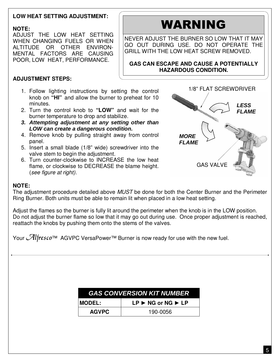# **LOW HEAT SETTING ADJUSTMENT:**

# **NOTE:**

ADJUST THE LOW HEAT SETTING WHEN CHANGING FUELS OR WHEN ALTITUDE OR OTHER ENVIRON-MENTAL FACTORS ARE CAUSING POOR, LOW HEAT, PERFORMANCE.

# WARNING

NEVER ADJUST THE BURNER SO LOW THAT IT MAY GO OUT DURING USE. DO NOT OPERATE THE GRILL WITH THE LOW HEAT SCREW REMOVED.

**GAS CAN ESCAPE AND CAUSE A POTENTIALLY HAZARDOUS CONDITION.**

# **ADJUSTMENT STEPS:**

- 1. Follow lighting instructions by setting the control knob on **"HI"** and allow the burner to preheat for 10 minutes.
- 2. Turn the control knob to **"LOW"** and wait for the burner temperature to drop and stabilize.
- **3. Attempting adjustment at any setting other than LOW can create a dangerous condition.**
- 4. Remove knob by pulling straight away from control panel.
- 5. Insert a small blade (1/8" wide) screwdriver into the valve stem to begin the adjustment.
- 6. Turn counter-clockwise to INCREASE the low heat flame, or clockwise to DECREASE the blame height. (see figure at right).



## **NOTE:**

The adjustment procedure detailed above MUST be done for both the Center Burner and the Perimeter Ring Burner. Both units must be able to remain lit when placed in a low heat setting.

Adjust the flames so the burner is fully lit around the perimeter when the knob is in the LOW position. Do not adjust the burner flame so low that it may go out during use. Once proper adjustment is reached, reattach the knobs by pushing them onto the stems of the valves.

Your  $\mathcal{A}$ lfresco™ AGVPC VersaPower™ Burner is now ready for use with the new fuel.

| <b>GAS CONVERSION KIT NUMBER</b> |                                                  |  |  |  |
|----------------------------------|--------------------------------------------------|--|--|--|
| <b>MODEL:</b>                    | $LP \triangleright$ NG or NG $\triangleright$ LP |  |  |  |
| <b>AGVPC</b>                     | 190-0056                                         |  |  |  |